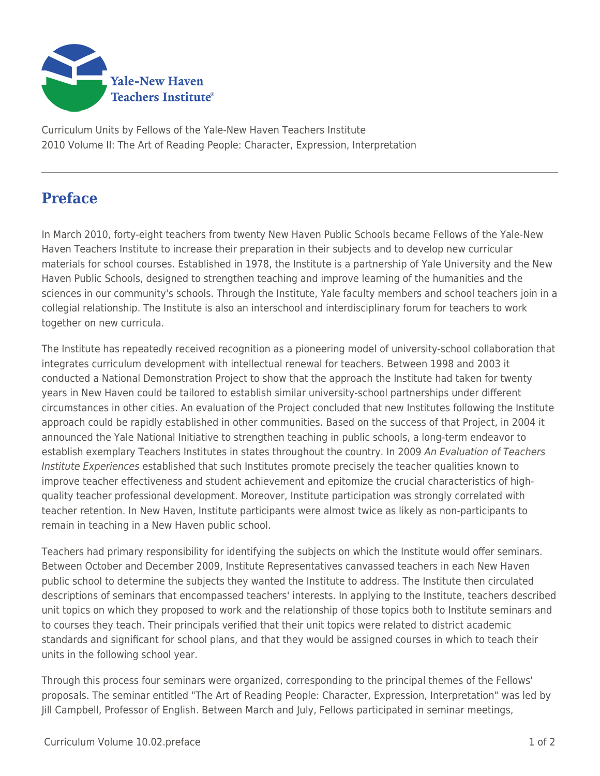

Curriculum Units by Fellows of the Yale-New Haven Teachers Institute 2010 Volume II: The Art of Reading People: Character, Expression, Interpretation

## **Preface**

In March 2010, forty-eight teachers from twenty New Haven Public Schools became Fellows of the Yale-New Haven Teachers Institute to increase their preparation in their subjects and to develop new curricular materials for school courses. Established in 1978, the Institute is a partnership of Yale University and the New Haven Public Schools, designed to strengthen teaching and improve learning of the humanities and the sciences in our community's schools. Through the Institute, Yale faculty members and school teachers join in a collegial relationship. The Institute is also an interschool and interdisciplinary forum for teachers to work together on new curricula.

The Institute has repeatedly received recognition as a pioneering model of university-school collaboration that integrates curriculum development with intellectual renewal for teachers. Between 1998 and 2003 it conducted a National Demonstration Project to show that the approach the Institute had taken for twenty years in New Haven could be tailored to establish similar university-school partnerships under different circumstances in other cities. An evaluation of the Project concluded that new Institutes following the Institute approach could be rapidly established in other communities. Based on the success of that Project, in 2004 it announced the Yale National Initiative to strengthen teaching in public schools, a long-term endeavor to establish exemplary Teachers Institutes in states throughout the country. In 2009 An Evaluation of Teachers Institute Experiences established that such Institutes promote precisely the teacher qualities known to improve teacher effectiveness and student achievement and epitomize the crucial characteristics of highquality teacher professional development. Moreover, Institute participation was strongly correlated with teacher retention. In New Haven, Institute participants were almost twice as likely as non-participants to remain in teaching in a New Haven public school.

Teachers had primary responsibility for identifying the subjects on which the Institute would offer seminars. Between October and December 2009, Institute Representatives canvassed teachers in each New Haven public school to determine the subjects they wanted the Institute to address. The Institute then circulated descriptions of seminars that encompassed teachers' interests. In applying to the Institute, teachers described unit topics on which they proposed to work and the relationship of those topics both to Institute seminars and to courses they teach. Their principals verified that their unit topics were related to district academic standards and significant for school plans, and that they would be assigned courses in which to teach their units in the following school year.

Through this process four seminars were organized, corresponding to the principal themes of the Fellows' proposals. The seminar entitled "The Art of Reading People: Character, Expression, Interpretation" was led by Jill Campbell, Professor of English. Between March and July, Fellows participated in seminar meetings,